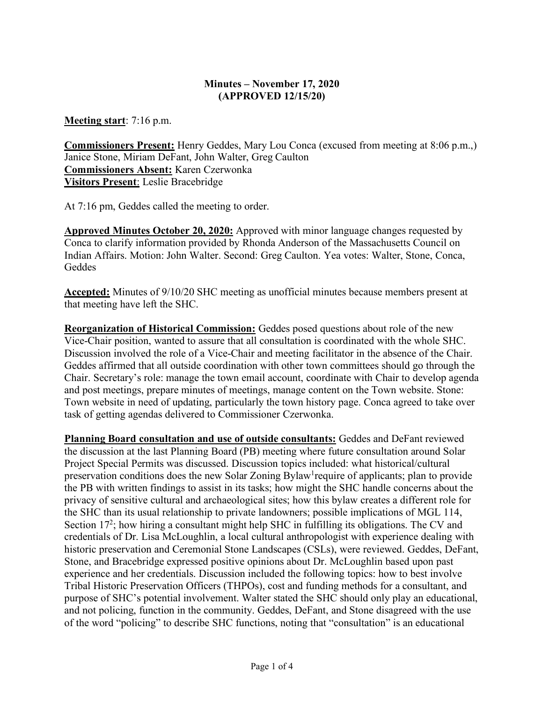# **Minutes – November 17, 2020 (APPROVED 12/15/20)**

**Meeting start**: 7:16 p.m.

**Commissioners Present:** Henry Geddes, Mary Lou Conca (excused from meeting at 8:06 p.m.,) Janice Stone, Miriam DeFant, John Walter, Greg Caulton **Commissioners Absent:** Karen Czerwonka **Visitors Present**: Leslie Bracebridge

At 7:16 pm, Geddes called the meeting to order.

**Approved Minutes October 20, 2020:** Approved with minor language changes requested by Conca to clarify information provided by Rhonda Anderson of the Massachusetts Council on Indian Affairs. Motion: John Walter. Second: Greg Caulton. Yea votes: Walter, Stone, Conca, **Geddes** 

**Accepted:** Minutes of 9/10/20 SHC meeting as unofficial minutes because members present at that meeting have left the SHC.

**Reorganization of Historical Commission:** Geddes posed questions about role of the new Vice-Chair position, wanted to assure that all consultation is coordinated with the whole SHC. Discussion involved the role of a Vice-Chair and meeting facilitator in the absence of the Chair. Geddes affirmed that all outside coordination with other town committees should go through the Chair. Secretary's role: manage the town email account, coordinate with Chair to develop agenda and post meetings, prepare minutes of meetings, manage content on the Town website. Stone: Town website in need of updating, particularly the town history page. Conca agreed to take over task of getting agendas delivered to Commissioner Czerwonka.

**Planning Board consultation and use of outside consultants:** Geddes and DeFant reviewed the discussion at the last Planning Board (PB) meeting where future consultation around Solar Project Special Permits was discussed. Discussion topics included: what historical/cultural preservation conditions does the new Solar Zoning Bylaw<sup>1</sup> require of applicants; plan to provide the PB with written findings to assist in its tasks; how might the SHC handle concerns about the privacy of sensitive cultural and archaeological sites; how this bylaw creates a different role for the SHC than its usual relationship to private landowners; possible implications of MGL 114, Section 17<sup>2</sup>; how hiring a consultant might help SHC in fulfilling its obligations. The CV and credentials of Dr. Lisa McLoughlin, a local cultural anthropologist with experience dealing with historic preservation and Ceremonial Stone Landscapes (CSLs), were reviewed. Geddes, DeFant, Stone, and Bracebridge expressed positive opinions about Dr. McLoughlin based upon past experience and her credentials. Discussion included the following topics: how to best involve Tribal Historic Preservation Officers (THPOs), cost and funding methods for a consultant, and purpose of SHC's potential involvement. Walter stated the SHC should only play an educational, and not policing, function in the community. Geddes, DeFant, and Stone disagreed with the use of the word "policing" to describe SHC functions, noting that "consultation" is an educational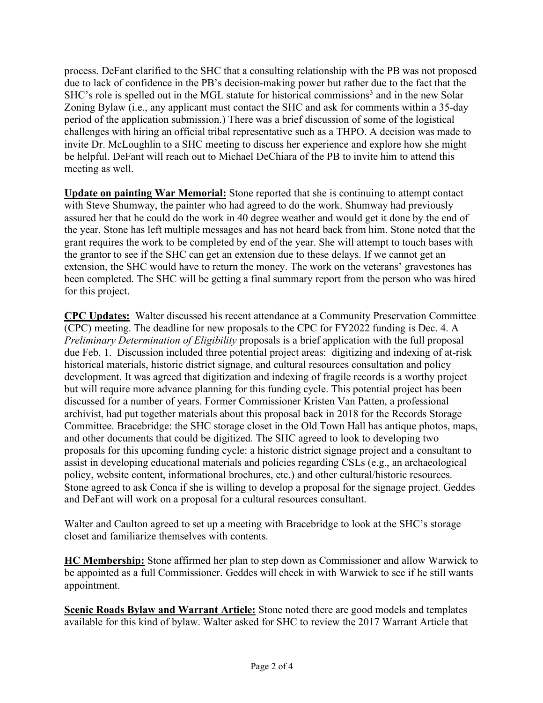process. DeFant clarified to the SHC that a consulting relationship with the PB was not proposed due to lack of confidence in the PB's decision-making power but rather due to the fact that the SHC's role is spelled out in the MGL statute for historical commissions<sup>3</sup> and in the new Solar Zoning Bylaw (i.e., any applicant must contact the SHC and ask for comments within a 35-day period of the application submission.) There was a brief discussion of some of the logistical challenges with hiring an official tribal representative such as a THPO. A decision was made to invite Dr. McLoughlin to a SHC meeting to discuss her experience and explore how she might be helpful. DeFant will reach out to Michael DeChiara of the PB to invite him to attend this meeting as well.

**Update on painting War Memorial:** Stone reported that she is continuing to attempt contact with Steve Shumway, the painter who had agreed to do the work. Shumway had previously assured her that he could do the work in 40 degree weather and would get it done by the end of the year. Stone has left multiple messages and has not heard back from him. Stone noted that the grant requires the work to be completed by end of the year. She will attempt to touch bases with the grantor to see if the SHC can get an extension due to these delays. If we cannot get an extension, the SHC would have to return the money. The work on the veterans' gravestones has been completed. The SHC will be getting a final summary report from the person who was hired for this project.

**CPC Updates:** Walter discussed his recent attendance at a Community Preservation Committee (CPC) meeting. The deadline for new proposals to the CPC for FY2022 funding is Dec. 4. A *Preliminary Determination of Eligibility* proposals is a brief application with the full proposal due Feb. 1. Discussion included three potential project areas: digitizing and indexing of at-risk historical materials, historic district signage, and cultural resources consultation and policy development. It was agreed that digitization and indexing of fragile records is a worthy project but will require more advance planning for this funding cycle. This potential project has been discussed for a number of years. Former Commissioner Kristen Van Patten, a professional archivist, had put together materials about this proposal back in 2018 for the Records Storage Committee. Bracebridge: the SHC storage closet in the Old Town Hall has antique photos, maps, and other documents that could be digitized. The SHC agreed to look to developing two proposals for this upcoming funding cycle: a historic district signage project and a consultant to assist in developing educational materials and policies regarding CSLs (e.g., an archaeological policy, website content, informational brochures, etc.) and other cultural/historic resources. Stone agreed to ask Conca if she is willing to develop a proposal for the signage project. Geddes and DeFant will work on a proposal for a cultural resources consultant.

Walter and Caulton agreed to set up a meeting with Bracebridge to look at the SHC's storage closet and familiarize themselves with contents.

**HC Membership:** Stone affirmed her plan to step down as Commissioner and allow Warwick to be appointed as a full Commissioner. Geddes will check in with Warwick to see if he still wants appointment.

**Scenic Roads Bylaw and Warrant Article:** Stone noted there are good models and templates available for this kind of bylaw. Walter asked for SHC to review the 2017 Warrant Article that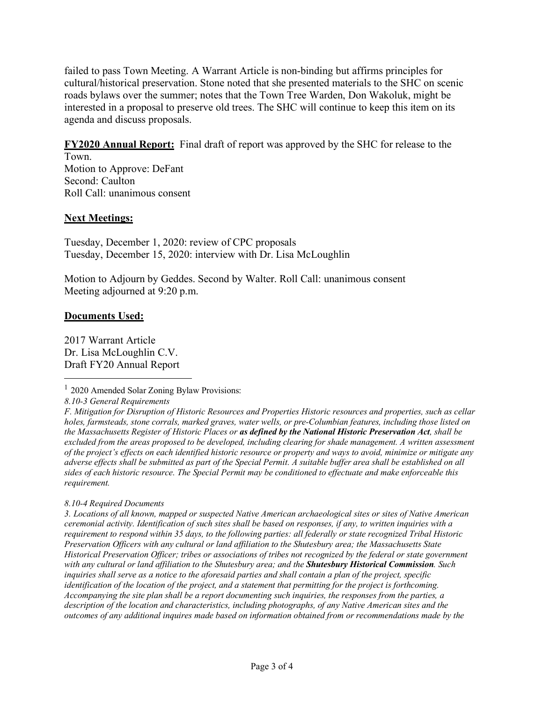failed to pass Town Meeting. A Warrant Article is non-binding but affirms principles for cultural/historical preservation. Stone noted that she presented materials to the SHC on scenic roads bylaws over the summer; notes that the Town Tree Warden, Don Wakoluk, might be interested in a proposal to preserve old trees. The SHC will continue to keep this item on its agenda and discuss proposals.

**FY2020 Annual Report:** Final draft of report was approved by the SHC for release to the

Town. Motion to Approve: DeFant Second: Caulton Roll Call: unanimous consent

# **Next Meetings:**

Tuesday, December 1, 2020: review of CPC proposals Tuesday, December 15, 2020: interview with Dr. Lisa McLoughlin

Motion to Adjourn by Geddes. Second by Walter. Roll Call: unanimous consent Meeting adjourned at 9:20 p.m.

## **Documents Used:**

2017 Warrant Article Dr. Lisa McLoughlin C.V. Draft FY20 Annual Report

*8.10-3 General Requirements*

*F. Mitigation for Disruption of Historic Resources and Properties Historic resources and properties, such as cellar holes, farmsteads, stone corrals, marked graves, water wells, or pre-Columbian features, including those listed on the Massachusetts Register of Historic Places or as defined by the National Historic Preservation Act, shall be excluded from the areas proposed to be developed, including clearing for shade management. A written assessment of the project's effects on each identified historic resource or property and ways to avoid, minimize or mitigate any adverse effects shall be submitted as part of the Special Permit. A suitable buffer area shall be established on all sides of each historic resource. The Special Permit may be conditioned to effectuate and make enforceable this requirement.*

### *8.10-4 Required Documents*

*3. Locations of all known, mapped or suspected Native American archaeological sites or sites of Native American ceremonial activity. Identification of such sites shall be based on responses, if any, to written inquiries with a requirement to respond within 35 days, to the following parties: all federally or state recognized Tribal Historic Preservation Officers with any cultural or land affiliation to the Shutesbury area; the Massachusetts State Historical Preservation Officer; tribes or associations of tribes not recognized by the federal or state government with any cultural or land affiliation to the Shutesbury area; and the Shutesbury Historical Commission. Such inquiries shall serve as a notice to the aforesaid parties and shall contain a plan of the project, specific identification of the location of the project, and a statement that permitting for the project is forthcoming. Accompanying the site plan shall be a report documenting such inquiries, the responses from the parties, a description of the location and characteristics, including photographs, of any Native American sites and the outcomes of any additional inquires made based on information obtained from or recommendations made by the*

<sup>&</sup>lt;sup>1</sup> 2020 Amended Solar Zoning Bylaw Provisions: